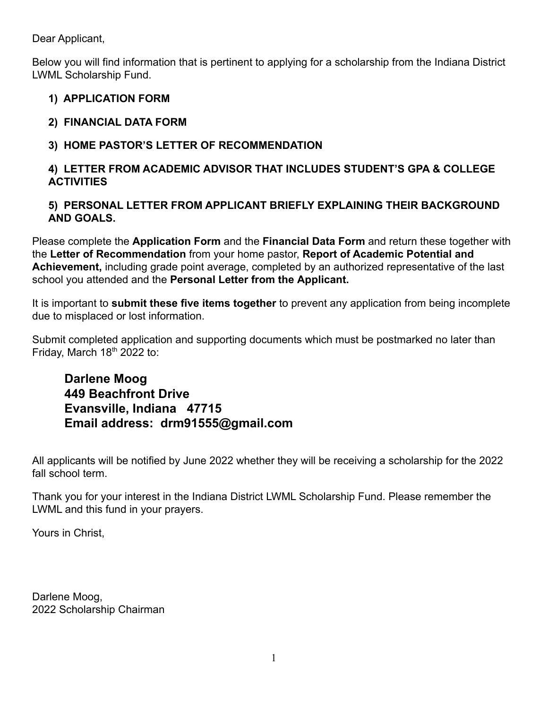Dear Applicant,

Below you will find information that is pertinent to applying for a scholarship from the Indiana District LWML Scholarship Fund.

### **1) APPLICATION FORM**

# **2) FINANCIAL DATA FORM**

## **3) HOME PASTOR'S LETTER OF RECOMMENDATION**

### **4) LETTER FROM ACADEMIC ADVISOR THAT INCLUDES STUDENT'S GPA & COLLEGE ACTIVITIES**

### **5) PERSONAL LETTER FROM APPLICANT BRIEFLY EXPLAINING THEIR BACKGROUND AND GOALS.**

Please complete the **Application Form** and the **Financial Data Form** and return these together with the **Letter of Recommendation** from your home pastor, **Report of Academic Potential and Achievement,** including grade point average, completed by an authorized representative of the last school you attended and the **Personal Letter from the Applicant.**

It is important to **submit these five items together** to prevent any application from being incomplete due to misplaced or lost information.

Submit completed application and supporting documents which must be postmarked no later than Friday, March  $18<sup>th</sup>$  2022 to:

# **Darlene Moog 449 Beachfront Drive Evansville, Indiana 47715 Email address: [drm91555@gmail.com](mailto:drm91555@gmail.com)**

All applicants will be notified by June 2022 whether they will be receiving a scholarship for the 2022 fall school term.

Thank you for your interest in the Indiana District LWML Scholarship Fund. Please remember the LWML and this fund in your prayers.

Yours in Christ,

Darlene Moog, 2022 Scholarship Chairman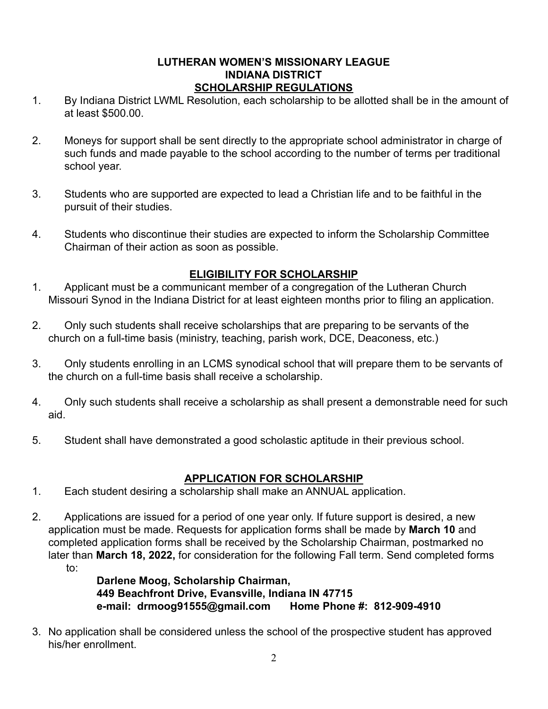#### **LUTHERAN WOMEN'S MISSIONARY LEAGUE INDIANA DISTRICT SCHOLARSHIP REGULATIONS**

- 1. By Indiana District LWML Resolution, each scholarship to be allotted shall be in the amount of at least \$500.00.
- 2. Moneys for support shall be sent directly to the appropriate school administrator in charge of such funds and made payable to the school according to the number of terms per traditional school year.
- 3. Students who are supported are expected to lead a Christian life and to be faithful in the pursuit of their studies.
- 4. Students who discontinue their studies are expected to inform the Scholarship Committee Chairman of their action as soon as possible.

### **ELIGIBILITY FOR SCHOLARSHIP**

- 1. Applicant must be a communicant member of a congregation of the Lutheran Church Missouri Synod in the Indiana District for at least eighteen months prior to filing an application.
- 2. Only such students shall receive scholarships that are preparing to be servants of the church on a full-time basis (ministry, teaching, parish work, DCE, Deaconess, etc.)
- 3. Only students enrolling in an LCMS synodical school that will prepare them to be servants of the church on a full-time basis shall receive a scholarship.
- 4. Only such students shall receive a scholarship as shall present a demonstrable need for such aid.
- 5. Student shall have demonstrated a good scholastic aptitude in their previous school.

#### **APPLICATION FOR SCHOLARSHIP**

- 1. Each student desiring a scholarship shall make an ANNUAL application.
- 2. Applications are issued for a period of one year only. If future support is desired, a new application must be made. Requests for application forms shall be made by **March 10** and completed application forms shall be received by the Scholarship Chairman, postmarked no later than **March 18, 2022,** for consideration for the following Fall term. Send completed forms to:

**Darlene Moog, Scholarship Chairman, 449 Beachfront Drive, Evansville, Indiana IN 47715 e-mail: [drmoog91555@gmail.com](mailto:drmoog91555@gmail.com) Home Phone #: 812-909-4910**

3. No application shall be considered unless the school of the prospective student has approved his/her enrollment.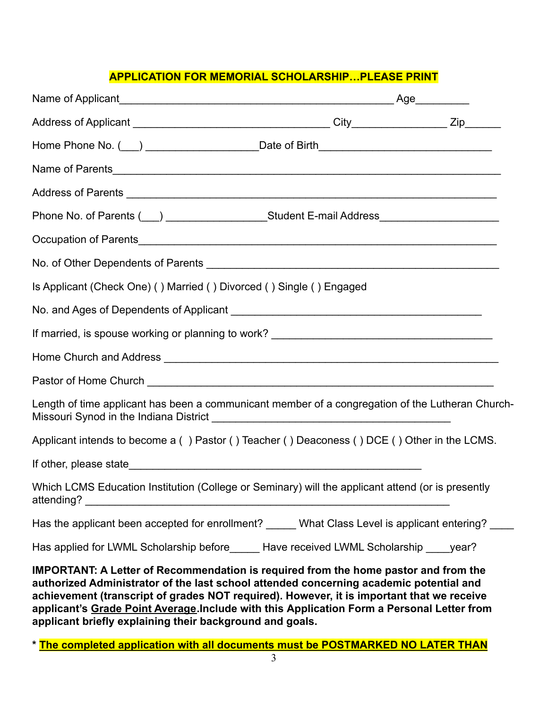#### **APPLICATION FOR MEMORIAL SCHOLARSHIP…PLEASE PRINT**

| Home Phone No. ( ) __________________________Date of Birth_______________________                                                                                                                                                                                                                                                                                                                                                           |  |  |
|---------------------------------------------------------------------------------------------------------------------------------------------------------------------------------------------------------------------------------------------------------------------------------------------------------------------------------------------------------------------------------------------------------------------------------------------|--|--|
|                                                                                                                                                                                                                                                                                                                                                                                                                                             |  |  |
|                                                                                                                                                                                                                                                                                                                                                                                                                                             |  |  |
|                                                                                                                                                                                                                                                                                                                                                                                                                                             |  |  |
|                                                                                                                                                                                                                                                                                                                                                                                                                                             |  |  |
|                                                                                                                                                                                                                                                                                                                                                                                                                                             |  |  |
| Is Applicant (Check One) () Married () Divorced () Single () Engaged                                                                                                                                                                                                                                                                                                                                                                        |  |  |
|                                                                                                                                                                                                                                                                                                                                                                                                                                             |  |  |
|                                                                                                                                                                                                                                                                                                                                                                                                                                             |  |  |
|                                                                                                                                                                                                                                                                                                                                                                                                                                             |  |  |
|                                                                                                                                                                                                                                                                                                                                                                                                                                             |  |  |
| Length of time applicant has been a communicant member of a congregation of the Lutheran Church-                                                                                                                                                                                                                                                                                                                                            |  |  |
| Applicant intends to become a () Pastor () Teacher () Deaconess () DCE () Other in the LCMS.                                                                                                                                                                                                                                                                                                                                                |  |  |
|                                                                                                                                                                                                                                                                                                                                                                                                                                             |  |  |
| Which LCMS Education Institution (College or Seminary) will the applicant attend (or is presently<br>attending?                                                                                                                                                                                                                                                                                                                             |  |  |
| Has the applicant been accepted for enrollment? _____ What Class Level is applicant entering? ___                                                                                                                                                                                                                                                                                                                                           |  |  |
| Has applied for LWML Scholarship before_______Have received LWML Scholarship _____ year?                                                                                                                                                                                                                                                                                                                                                    |  |  |
| <b>IMPORTANT: A Letter of Recommendation is required from the home pastor and from the</b><br>authorized Administrator of the last school attended concerning academic potential and<br>achievement (transcript of grades NOT required). However, it is important that we receive<br>applicant's Grade Point Average. Include with this Application Form a Personal Letter from<br>applicant briefly explaining their background and goals. |  |  |

**\* The completed application with all documents must be POSTMARKED NO LATER THAN**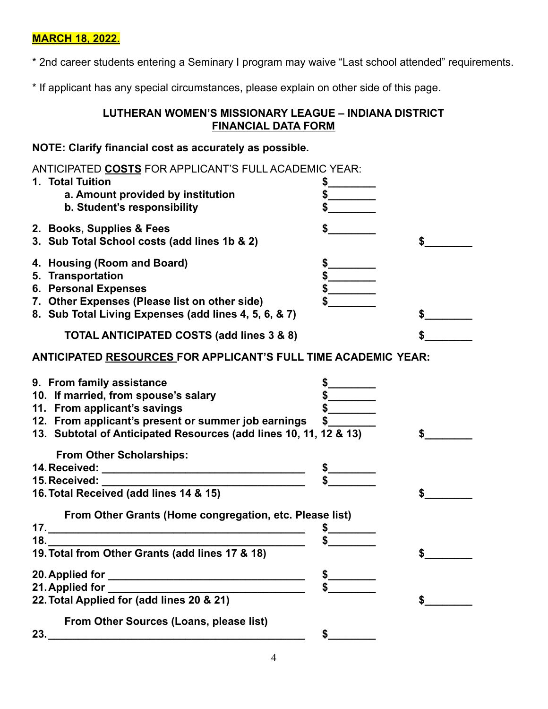### **MARCH 18, 2022.**

\* 2nd career students entering a Seminary I program may waive "Last school attended" requirements.

\* If applicant has any special circumstances, please explain on other side of this page.

#### **LUTHERAN WOMEN'S MISSIONARY LEAGUE – INDIANA DISTRICT FINANCIAL DATA FORM**

#### **NOTE: Clarify financial cost as accurately as possible.**

| ANTICIPATED COSTS FOR APPLICANT'S FULL ACADEMIC YEAR:<br>1. Total Tuition<br>a. Amount provided by institution<br>b. Student's responsibility                                                                                 | $\frac{1}{2}$ |
|-------------------------------------------------------------------------------------------------------------------------------------------------------------------------------------------------------------------------------|---------------|
| 2. Books, Supplies & Fees<br>3. Sub Total School costs (add lines 1b & 2)                                                                                                                                                     | \$            |
| 4. Housing (Room and Board)<br>5. Transportation<br>6. Personal Expenses<br>7. Other Expenses (Please list on other side)<br>8. Sub Total Living Expenses (add lines 4, 5, 6, & 7)                                            |               |
| TOTAL ANTICIPATED COSTS (add lines 3 & 8)                                                                                                                                                                                     |               |
| ANTICIPATED RESOURCES FOR APPLICANT'S FULL TIME ACADEMIC YEAR:                                                                                                                                                                |               |
| 9. From family assistance<br>10. If married, from spouse's salary<br>11. From applicant's savings<br>12. From applicant's present or summer job earnings<br>13. Subtotal of Anticipated Resources (add lines 10, 11, 12 & 13) | $\mathbb{S}$  |
| <b>From Other Scholarships:</b><br>15. Received: _____________<br><u>. Kabupatèn Bandaran Propinsi Jawa Bandaran Bandaran Indonesia. Ka</u><br>16. Total Received (add lines 14 & 15)                                         | \$            |
| From Other Grants (Home congregation, etc. Please list)<br>18.<br>19. Total from Other Grants (add lines 17 & 18)                                                                                                             |               |
| 21. Applied for ___<br>22. Total Applied for (add lines 20 & 21)                                                                                                                                                              |               |
| From Other Sources (Loans, please list)                                                                                                                                                                                       | \$            |